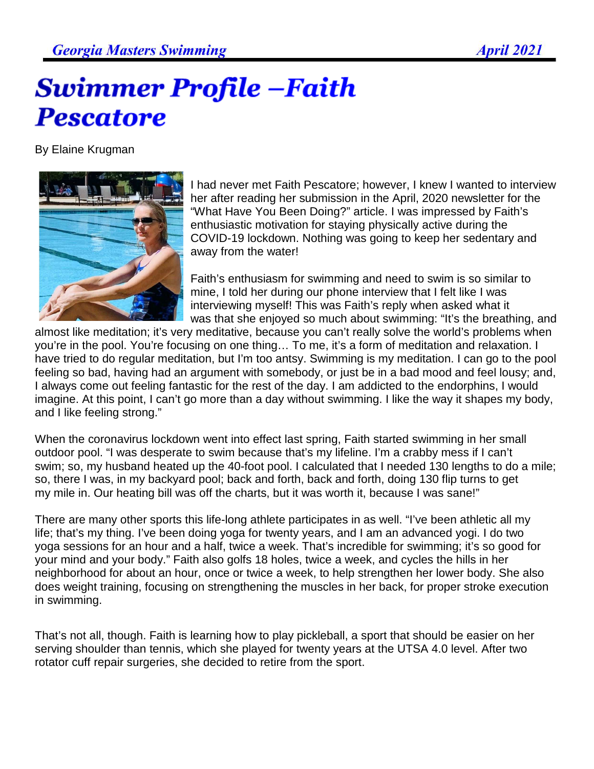## **Swimmer Profile -Faith Pescatore**

By Elaine Krugman



I had never met Faith Pescatore; however, I knew I wanted to interview her after reading her submission in the April, 2020 newsletter for the "What Have You Been Doing?" article. I was impressed by Faith's enthusiastic motivation for staying physically active during the COVID-19 lockdown. Nothing was going to keep her sedentary and away from the water!

Faith's enthusiasm for swimming and need to swim is so similar to mine, I told her during our phone interview that I felt like I was interviewing myself! This was Faith's reply when asked what it was that she enjoyed so much about swimming: "It's the breathing, and

almost like meditation; it's very meditative, because you can't really solve the world's problems when you're in the pool. You're focusing on one thing… To me, it's a form of meditation and relaxation. I have tried to do regular meditation, but I'm too antsy. Swimming is my meditation. I can go to the pool feeling so bad, having had an argument with somebody, or just be in a bad mood and feel lousy; and, I always come out feeling fantastic for the rest of the day. I am addicted to the endorphins, I would imagine. At this point, I can't go more than a day without swimming. I like the way it shapes my body, and I like feeling strong."

When the coronavirus lockdown went into effect last spring, Faith started swimming in her small outdoor pool. "I was desperate to swim because that's my lifeline. I'm a crabby mess if I can't swim; so, my husband heated up the 40-foot pool. I calculated that I needed 130 lengths to do a mile; so, there I was, in my backyard pool; back and forth, back and forth, doing 130 flip turns to get my mile in. Our heating bill was off the charts, but it was worth it, because I was sane!"

There are many other sports this life-long athlete participates in as well. "I've been athletic all my life; that's my thing. I've been doing yoga for twenty years, and I am an advanced yogi. I do two yoga sessions for an hour and a half, twice a week. That's incredible for swimming; it's so good for your mind and your body." Faith also golfs 18 holes, twice a week, and cycles the hills in her neighborhood for about an hour, once or twice a week, to help strengthen her lower body. She also does weight training, focusing on strengthening the muscles in her back, for proper stroke execution in swimming.

That's not all, though. Faith is learning how to play pickleball, a sport that should be easier on her serving shoulder than tennis, which she played for twenty years at the UTSA 4.0 level. After two rotator cuff repair surgeries, she decided to retire from the sport.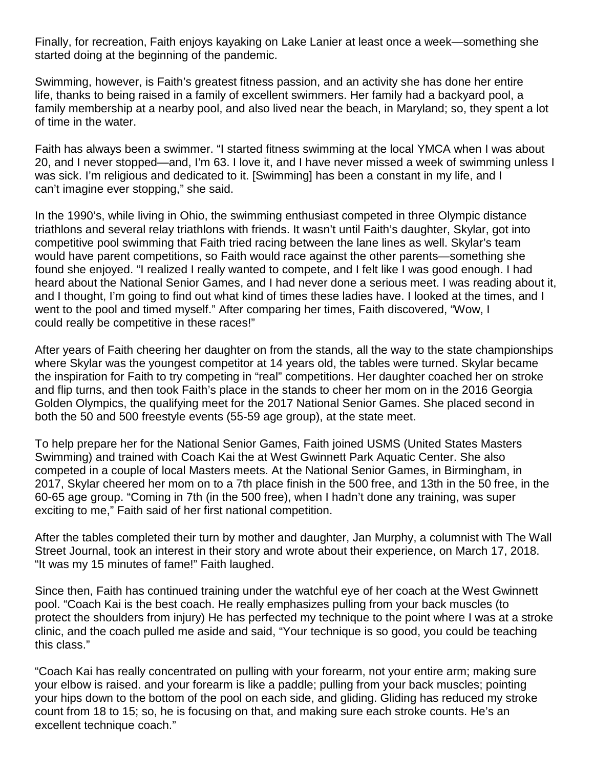Finally, for recreation, Faith enjoys kayaking on Lake Lanier at least once a week—something she started doing at the beginning of the pandemic.

Swimming, however, is Faith's greatest fitness passion, and an activity she has done her entire life, thanks to being raised in a family of excellent swimmers. Her family had a backyard pool, a family membership at a nearby pool, and also lived near the beach, in Maryland; so, they spent a lot of time in the water.

Faith has always been a swimmer. "I started fitness swimming at the local YMCA when I was about 20, and I never stopped—and, I'm 63. I love it, and I have never missed a week of swimming unless I was sick. I'm religious and dedicated to it. [Swimming] has been a constant in my life, and I can't imagine ever stopping," she said.

In the 1990's, while living in Ohio, the swimming enthusiast competed in three Olympic distance triathlons and several relay triathlons with friends. It wasn't until Faith's daughter, Skylar, got into competitive pool swimming that Faith tried racing between the lane lines as well. Skylar's team would have parent competitions, so Faith would race against the other parents—something she found she enjoyed. "I realized I really wanted to compete, and I felt like I was good enough. I had heard about the National Senior Games, and I had never done a serious meet. I was reading about it, and I thought, I'm going to find out what kind of times these ladies have. I looked at the times, and I went to the pool and timed myself." After comparing her times, Faith discovered, "Wow, I could really be competitive in these races!"

After years of Faith cheering her daughter on from the stands, all the way to the state championships where Skylar was the youngest competitor at 14 years old, the tables were turned. Skylar became the inspiration for Faith to try competing in "real" competitions. Her daughter coached her on stroke and flip turns, and then took Faith's place in the stands to cheer her mom on in the 2016 Georgia Golden Olympics, the qualifying meet for the 2017 National Senior Games. She placed second in both the 50 and 500 freestyle events (55-59 age group), at the state meet.

To help prepare her for the National Senior Games, Faith joined USMS (United States Masters Swimming) and trained with Coach Kai the at West Gwinnett Park Aquatic Center. She also competed in a couple of local Masters meets. At the National Senior Games, in Birmingham, in 2017, Skylar cheered her mom on to a 7th place finish in the 500 free, and 13th in the 50 free, in the 60-65 age group. "Coming in 7th (in the 500 free), when I hadn't done any training, was super exciting to me," Faith said of her first national competition.

After the tables completed their turn by mother and daughter, Jan Murphy, a columnist with The Wall Street Journal, took an interest in their story and wrote about their experience, on March 17, 2018. "It was my 15 minutes of fame!" Faith laughed.

Since then, Faith has continued training under the watchful eye of her coach at the West Gwinnett pool. "Coach Kai is the best coach. He really emphasizes pulling from your back muscles (to protect the shoulders from injury) He has perfected my technique to the point where I was at a stroke clinic, and the coach pulled me aside and said, "Your technique is so good, you could be teaching this class."

"Coach Kai has really concentrated on pulling with your forearm, not your entire arm; making sure your elbow is raised. and your forearm is like a paddle; pulling from your back muscles; pointing your hips down to the bottom of the pool on each side, and gliding. Gliding has reduced my stroke count from 18 to 15; so, he is focusing on that, and making sure each stroke counts. He's an excellent technique coach."